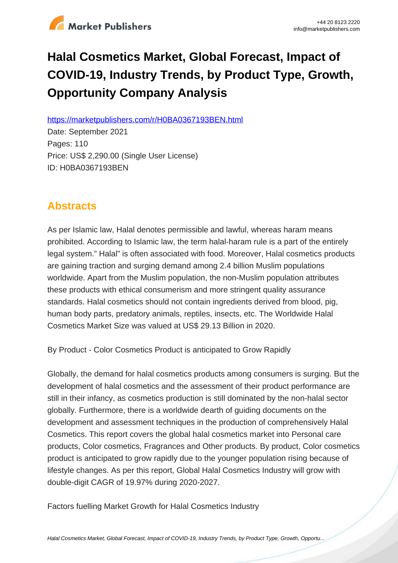

# **Halal Cosmetics Market, Global Forecast, Impact of COVID-19, Industry Trends, by Product Type, Growth, Opportunity Company Analysis**

https://marketpublishers.com/r/H0BA0367193BEN.html

Date: September 2021 Pages: 110 Price: US\$ 2,290.00 (Single User License) ID: H0BA0367193BEN

# **Abstracts**

As per Islamic law, Halal denotes permissible and lawful, whereas haram means prohibited. According to Islamic law, the term halal-haram rule is a part of the entirely legal system." Halal" is often associated with food. Moreover, Halal cosmetics products are gaining traction and surging demand among 2.4 billion Muslim populations worldwide. Apart from the Muslim population, the non-Muslim population attributes these products with ethical consumerism and more stringent quality assurance standards. Halal cosmetics should not contain ingredients derived from blood, pig, human body parts, predatory animals, reptiles, insects, etc. The Worldwide Halal Cosmetics Market Size was valued at US\$ 29.13 Billion in 2020.

By Product - Color Cosmetics Product is anticipated to Grow Rapidly

Globally, the demand for halal cosmetics products among consumers is surging. But the development of halal cosmetics and the assessment of their product performance are still in their infancy, as cosmetics production is still dominated by the non-halal sector globally. Furthermore, there is a worldwide dearth of guiding documents on the development and assessment techniques in the production of comprehensively Halal Cosmetics. This report covers the global halal cosmetics market into Personal care products, Color cosmetics, Fragrances and Other products. By product, Color cosmetics product is anticipated to grow rapidly due to the younger population rising because of lifestyle changes. As per this report, Global Halal Cosmetics Industry will grow with double-digit CAGR of 19.97% during 2020-2027.

Factors fuelling Market Growth for Halal Cosmetics Industry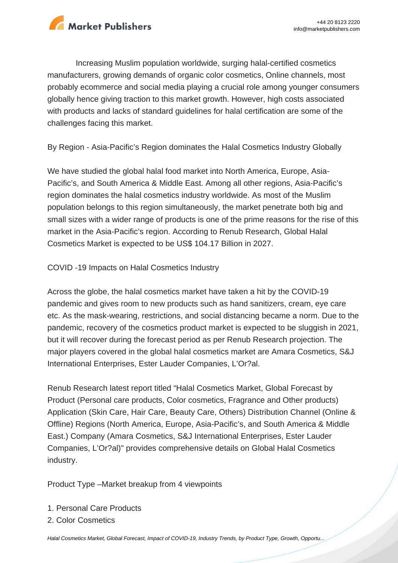

Increasing Muslim population worldwide, surging halal-certified cosmetics manufacturers, growing demands of organic color cosmetics, Online channels, most probably ecommerce and social media playing a crucial role among younger consumers globally hence giving traction to this market growth. However, high costs associated with products and lacks of standard guidelines for halal certification are some of the challenges facing this market.

By Region - Asia-Pacific's Region dominates the Halal Cosmetics Industry Globally

We have studied the global halal food market into North America, Europe, Asia-Pacific's, and South America & Middle East. Among all other regions, Asia-Pacific's region dominates the halal cosmetics industry worldwide. As most of the Muslim population belongs to this region simultaneously, the market penetrate both big and small sizes with a wider range of products is one of the prime reasons for the rise of this market in the Asia-Pacific's region. According to Renub Research, Global Halal Cosmetics Market is expected to be US\$ 104.17 Billion in 2027.

COVID -19 Impacts on Halal Cosmetics Industry

Across the globe, the halal cosmetics market have taken a hit by the COVID-19 pandemic and gives room to new products such as hand sanitizers, cream, eye care etc. As the mask-wearing, restrictions, and social distancing became a norm. Due to the pandemic, recovery of the cosmetics product market is expected to be sluggish in 2021, but it will recover during the forecast period as per Renub Research projection. The major players covered in the global halal cosmetics market are Amara Cosmetics, S&J International Enterprises, Ester Lauder Companies, L'Or?al.

Renub Research latest report titled "Halal Cosmetics Market, Global Forecast by Product (Personal care products, Color cosmetics, Fragrance and Other products) Application (Skin Care, Hair Care, Beauty Care, Others) Distribution Channel (Online & Offline) Regions (North America, Europe, Asia-Pacific's, and South America & Middle East.) Company (Amara Cosmetics, S&J International Enterprises, Ester Lauder Companies, L'Or?al)" provides comprehensive details on Global Halal Cosmetics industry.

Product Type –Market breakup from 4 viewpoints

- 1. Personal Care Products
- 2. Color Cosmetics

[Halal Cosmetics Market, Global Forecast, Impact of COVID-19, Industry Trends, by Product Type, Growth, Opportu...](https://marketpublishers.com/report/consumers_goods/cosmetics/halal-cosmetics-market-global-forecast-impact-of-covid-19-industry-trends-by-product-type-growth-opportunity-company-analysis.html)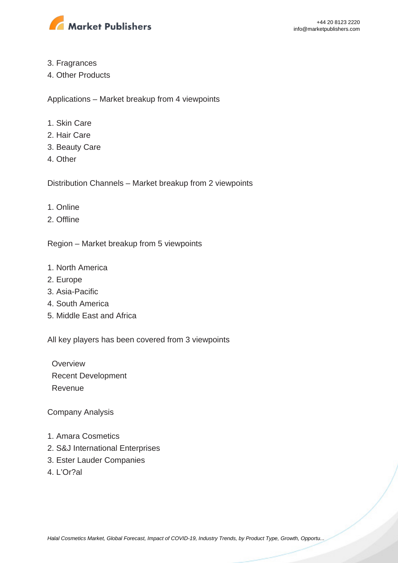

- 3. Fragrances
- 4. Other Products

Applications – Market breakup from 4 viewpoints

- 1. Skin Care
- 2. Hair Care
- 3. Beauty Care
- 4. Other

Distribution Channels – Market breakup from 2 viewpoints

- 1. Online
- 2. Offline

Region – Market breakup from 5 viewpoints

- 1. North America
- 2. Europe
- 3. Asia-Pacific
- 4. South America
- 5. Middle East and Africa

All key players has been covered from 3 viewpoints

**Overview**  Recent Development Revenue

Company Analysis

- 1. Amara Cosmetics
- 2. S&J International Enterprises
- 3. Ester Lauder Companies
- 4. L'Or?al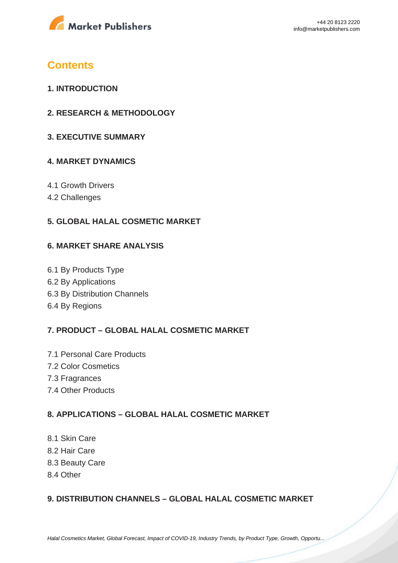

# **Contents**

- **1. INTRODUCTION**
- **2. RESEARCH & METHODOLOGY**
- **3. EXECUTIVE SUMMARY**

### **4. MARKET DYNAMICS**

- 4.1 Growth Drivers
- 4.2 Challenges

# **5. GLOBAL HALAL COSMETIC MARKET**

#### **6. MARKET SHARE ANALYSIS**

6.1 By Products Type 6.2 By Applications 6.3 By Distribution Channels 6.4 By Regions

### **7. PRODUCT – GLOBAL HALAL COSMETIC MARKET**

7.1 Personal Care Products 7.2 Color Cosmetics 7.3 Fragrances 7.4 Other Products

### **8. APPLICATIONS – GLOBAL HALAL COSMETIC MARKET**

8.1 Skin Care 8.2 Hair Care 8.3 Beauty Care 8.4 Other

### **9. DISTRIBUTION CHANNELS – GLOBAL HALAL COSMETIC MARKET**

[Halal Cosmetics Market, Global Forecast, Impact of COVID-19, Industry Trends, by Product Type, Growth, Opportu...](https://marketpublishers.com/report/consumers_goods/cosmetics/halal-cosmetics-market-global-forecast-impact-of-covid-19-industry-trends-by-product-type-growth-opportunity-company-analysis.html)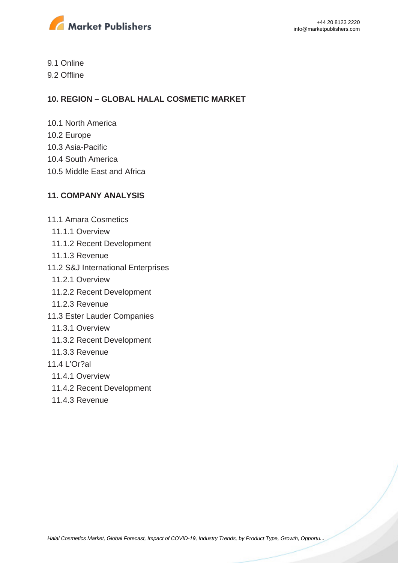

9.1 Online

9.2 Offline

# **10. REGION – GLOBAL HALAL COSMETIC MARKET**

- 10.1 North America
- 10.2 Europe
- 10.3 Asia-Pacific
- 10.4 South America
- 10.5 Middle East and Africa

# **11. COMPANY ANALYSIS**

- 11.1 Amara Cosmetics
	- 11.1.1 Overview
	- 11.1.2 Recent Development
	- 11.1.3 Revenue
- 11.2 S&J International Enterprises
	- 11.2.1 Overview
	- 11.2.2 Recent Development
- 11.2.3 Revenue
- 11.3 Ester Lauder Companies
	- 11.3.1 Overview
	- 11.3.2 Recent Development
- 11.3.3 Revenue
- 11.4 L'Or?al
	- 11.4.1 Overview
	- 11.4.2 Recent Development
	- 11.4.3 Revenue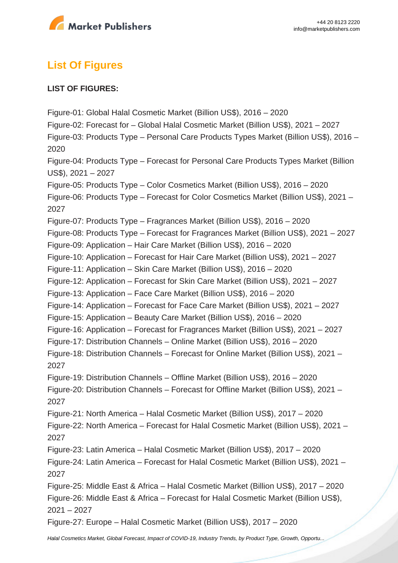

# **List Of Figures**

### **LIST OF FIGURES:**

Figure-01: Global Halal Cosmetic Market (Billion US\$), 2016 – 2020 Figure-02: Forecast for – Global Halal Cosmetic Market (Billion US\$), 2021 – 2027 Figure-03: Products Type – Personal Care Products Types Market (Billion US\$), 2016 – 2020 Figure-04: Products Type – Forecast for Personal Care Products Types Market (Billion US\$), 2021 – 2027 Figure-05: Products Type – Color Cosmetics Market (Billion US\$), 2016 – 2020 Figure-06: Products Type – Forecast for Color Cosmetics Market (Billion US\$), 2021 – 2027 Figure-07: Products Type – Fragrances Market (Billion US\$), 2016 – 2020 Figure-08: Products Type – Forecast for Fragrances Market (Billion US\$), 2021 – 2027 Figure-09: Application – Hair Care Market (Billion US\$), 2016 – 2020 Figure-10: Application – Forecast for Hair Care Market (Billion US\$), 2021 – 2027 Figure-11: Application – Skin Care Market (Billion US\$), 2016 – 2020 Figure-12: Application – Forecast for Skin Care Market (Billion US\$), 2021 – 2027 Figure-13: Application – Face Care Market (Billion US\$), 2016 – 2020 Figure-14: Application – Forecast for Face Care Market (Billion US\$), 2021 – 2027 Figure-15: Application – Beauty Care Market (Billion US\$), 2016 – 2020 Figure-16: Application – Forecast for Fragrances Market (Billion US\$), 2021 – 2027 Figure-17: Distribution Channels – Online Market (Billion US\$), 2016 – 2020 Figure-18: Distribution Channels – Forecast for Online Market (Billion US\$), 2021 – 2027 Figure-19: Distribution Channels – Offline Market (Billion US\$), 2016 – 2020 Figure-20: Distribution Channels – Forecast for Offline Market (Billion US\$), 2021 – 2027 Figure-21: North America – Halal Cosmetic Market (Billion US\$), 2017 – 2020 Figure-22: North America – Forecast for Halal Cosmetic Market (Billion US\$), 2021 – 2027 Figure-23: Latin America – Halal Cosmetic Market (Billion US\$), 2017 – 2020 Figure-24: Latin America – Forecast for Halal Cosmetic Market (Billion US\$), 2021 – 2027 Figure-25: Middle East & Africa – Halal Cosmetic Market (Billion US\$), 2017 – 2020 Figure-26: Middle East & Africa – Forecast for Halal Cosmetic Market (Billion US\$), 2021 – 2027 Figure-27: Europe – Halal Cosmetic Market (Billion US\$), 2017 – 2020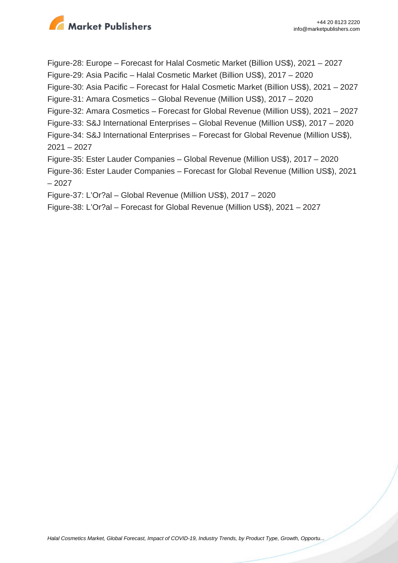

Figure-28: Europe – Forecast for Halal Cosmetic Market (Billion US\$), 2021 – 2027 Figure-29: Asia Pacific – Halal Cosmetic Market (Billion US\$), 2017 – 2020 Figure-30: Asia Pacific – Forecast for Halal Cosmetic Market (Billion US\$), 2021 – 2027 Figure-31: Amara Cosmetics – Global Revenue (Million US\$), 2017 – 2020 Figure-32: Amara Cosmetics – Forecast for Global Revenue (Million US\$), 2021 – 2027 Figure-33: S&J International Enterprises – Global Revenue (Million US\$), 2017 – 2020 Figure-34: S&J International Enterprises – Forecast for Global Revenue (Million US\$), 2021 – 2027 Figure-35: Ester Lauder Companies – Global Revenue (Million US\$), 2017 – 2020 Figure-36: Ester Lauder Companies – Forecast for Global Revenue (Million US\$), 2021 – 2027 Figure-37: L'Or?al – Global Revenue (Million US\$), 2017 – 2020

Figure-38: L'Or?al – Forecast for Global Revenue (Million US\$), 2021 – 2027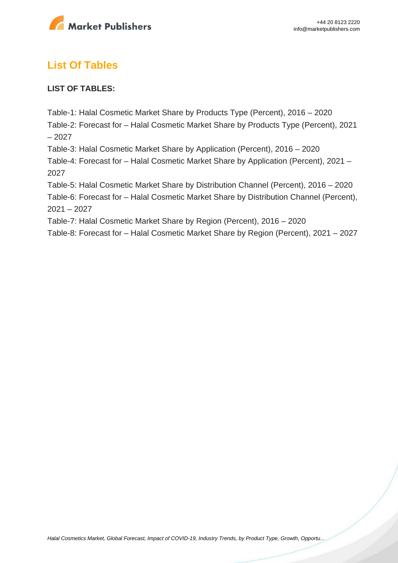

# **List Of Tables**

### **LIST OF TABLES:**

Table-1: Halal Cosmetic Market Share by Products Type (Percent), 2016 – 2020

Table-2: Forecast for – Halal Cosmetic Market Share by Products Type (Percent), 2021 – 2027

Table-3: Halal Cosmetic Market Share by Application (Percent), 2016 – 2020

Table-4: Forecast for – Halal Cosmetic Market Share by Application (Percent), 2021 – 2027

Table-5: Halal Cosmetic Market Share by Distribution Channel (Percent), 2016 – 2020

Table-6: Forecast for – Halal Cosmetic Market Share by Distribution Channel (Percent), 2021 – 2027

Table-7: Halal Cosmetic Market Share by Region (Percent), 2016 – 2020

Table-8: Forecast for – Halal Cosmetic Market Share by Region (Percent), 2021 – 2027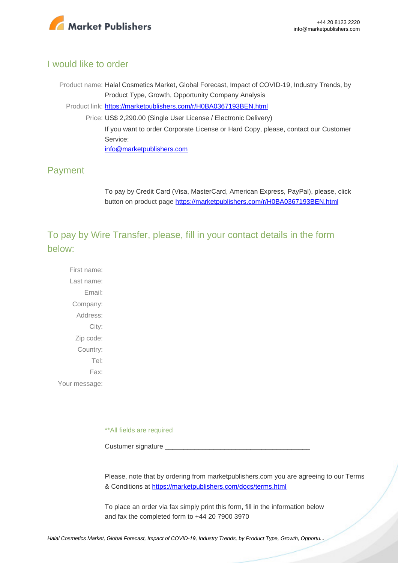

# I would like to order

Product name: Halal Cosmetics Market, Global Forecast, Impact of COVID-19, Industry Trends, by Product Type, Growth, Opportunity Company Analysis Product link: [https://marketpublishers.com/r/H0BA0367193BEN.html](https://marketpublishers.com/report/consumers_goods/cosmetics/halal-cosmetics-market-global-forecast-impact-of-covid-19-industry-trends-by-product-type-growth-opportunity-company-analysis.html) Price: US\$ 2,290.00 (Single User License / Electronic Delivery) If you want to order Corporate License or Hard Copy, please, contact our Customer Service: [info@marketpublishers.com](mailto:info@marketpublishers.com)

# Payment

To pay by Credit Card (Visa, MasterCard, American Express, PayPal), please, click button on product page [https://marketpublishers.com/r/H0BA0367193BEN.html](https://marketpublishers.com/report/consumers_goods/cosmetics/halal-cosmetics-market-global-forecast-impact-of-covid-19-industry-trends-by-product-type-growth-opportunity-company-analysis.html)

To pay by Wire Transfer, please, fill in your contact details in the form below:

First name: Last name: Email: Company: Address: City: Zip code: Country: Tel: Fax: Your message:

\*\*All fields are required

Custumer signature

Please, note that by ordering from marketpublishers.com you are agreeing to our Terms & Conditions at<https://marketpublishers.com/docs/terms.html>

To place an order via fax simply print this form, fill in the information below and fax the completed form to +44 20 7900 3970